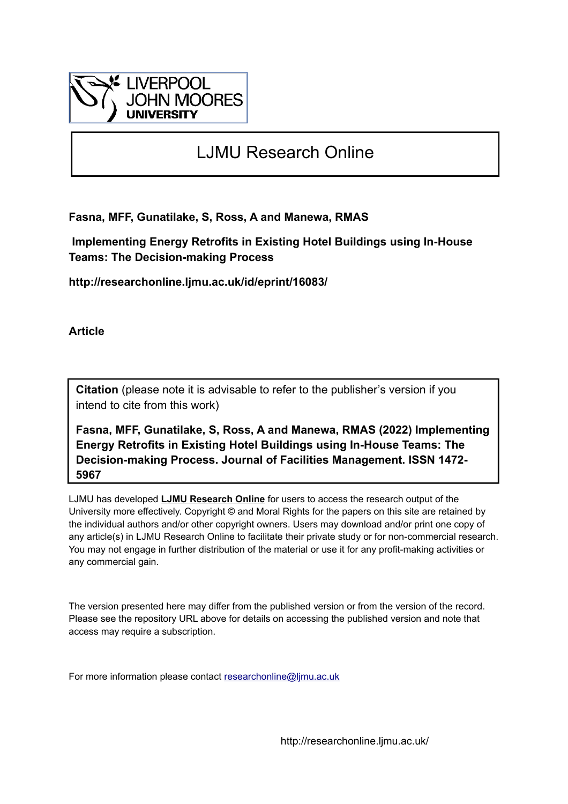

# LJMU Research Online

**Fasna, MFF, Gunatilake, S, Ross, A and Manewa, RMAS**

 **Implementing Energy Retrofits in Existing Hotel Buildings using In-House Teams: The Decision-making Process**

**http://researchonline.ljmu.ac.uk/id/eprint/16083/**

**Article**

**Citation** (please note it is advisable to refer to the publisher's version if you intend to cite from this work)

**Fasna, MFF, Gunatilake, S, Ross, A and Manewa, RMAS (2022) Implementing Energy Retrofits in Existing Hotel Buildings using In-House Teams: The Decision-making Process. Journal of Facilities Management. ISSN 1472- 5967** 

LJMU has developed **[LJMU Research Online](http://researchonline.ljmu.ac.uk/)** for users to access the research output of the University more effectively. Copyright © and Moral Rights for the papers on this site are retained by the individual authors and/or other copyright owners. Users may download and/or print one copy of any article(s) in LJMU Research Online to facilitate their private study or for non-commercial research. You may not engage in further distribution of the material or use it for any profit-making activities or any commercial gain.

The version presented here may differ from the published version or from the version of the record. Please see the repository URL above for details on accessing the published version and note that access may require a subscription.

For more information please contact [researchonline@ljmu.ac.uk](mailto:researchonline@ljmu.ac.uk)

http://researchonline.ljmu.ac.uk/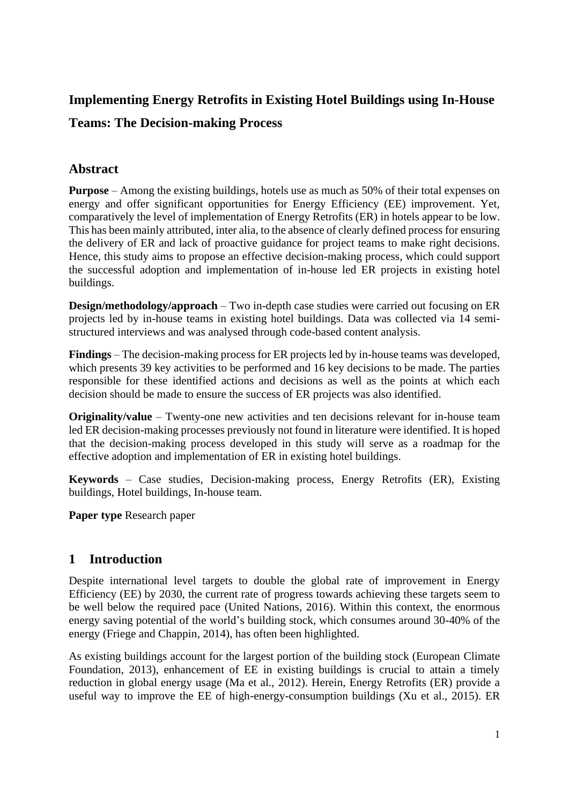# **Implementing Energy Retrofits in Existing Hotel Buildings using In-House**

# **Teams: The Decision-making Process**

#### **Abstract**

**Purpose** – Among the existing buildings, hotels use as much as 50% of their total expenses on energy and offer significant opportunities for Energy Efficiency (EE) improvement. Yet, comparatively the level of implementation of Energy Retrofits (ER) in hotels appear to be low. This has been mainly attributed, inter alia, to the absence of clearly defined process for ensuring the delivery of ER and lack of proactive guidance for project teams to make right decisions. Hence, this study aims to propose an effective decision-making process, which could support the successful adoption and implementation of in-house led ER projects in existing hotel buildings.

**Design/methodology/approach** – Two in-depth case studies were carried out focusing on ER projects led by in-house teams in existing hotel buildings. Data was collected via 14 semistructured interviews and was analysed through code-based content analysis.

**Findings** – The decision-making process for ER projects led by in-house teams was developed, which presents 39 key activities to be performed and 16 key decisions to be made. The parties responsible for these identified actions and decisions as well as the points at which each decision should be made to ensure the success of ER projects was also identified.

**Originality/value** – Twenty-one new activities and ten decisions relevant for in-house team led ER decision-making processes previously not found in literature were identified. It is hoped that the decision-making process developed in this study will serve as a roadmap for the effective adoption and implementation of ER in existing hotel buildings.

**Keywords** – Case studies, Decision-making process, Energy Retrofits (ER), Existing buildings, Hotel buildings, In-house team.

**Paper type** Research paper

# **1 Introduction**

Despite international level targets to double the global rate of improvement in Energy Efficiency (EE) by 2030, the current rate of progress towards achieving these targets seem to be well below the required pace (United Nations, 2016). Within this context, the enormous energy saving potential of the world's building stock, which consumes around 30-40% of the energy (Friege and Chappin, 2014), has often been highlighted.

As existing buildings account for the largest portion of the building stock (European Climate Foundation, 2013), enhancement of EE in existing buildings is crucial to attain a timely reduction in global energy usage (Ma et al., 2012). Herein, Energy Retrofits (ER) provide a useful way to improve the EE of high-energy-consumption buildings (Xu et al., 2015). ER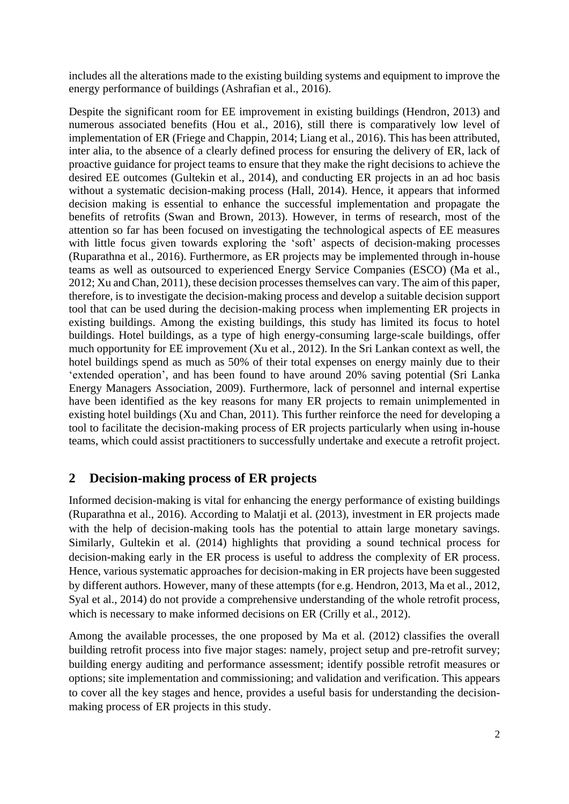includes all the alterations made to the existing building systems and equipment to improve the energy performance of buildings (Ashrafian et al., 2016).

Despite the significant room for EE improvement in existing buildings (Hendron, 2013) and numerous associated benefits (Hou et al., 2016), still there is comparatively low level of implementation of ER (Friege and Chappin, 2014; Liang et al., 2016). This has been attributed, inter alia, to the absence of a clearly defined process for ensuring the delivery of ER, lack of proactive guidance for project teams to ensure that they make the right decisions to achieve the desired EE outcomes (Gultekin et al., 2014), and conducting ER projects in an ad hoc basis without a systematic decision-making process (Hall, 2014). Hence, it appears that informed decision making is essential to enhance the successful implementation and propagate the benefits of retrofits (Swan and Brown, 2013). However, in terms of research, most of the attention so far has been focused on investigating the technological aspects of EE measures with little focus given towards exploring the 'soft' aspects of decision-making processes (Ruparathna et al., 2016). Furthermore, as ER projects may be implemented through in-house teams as well as outsourced to experienced Energy Service Companies (ESCO) (Ma et al., 2012; Xu and Chan, 2011), these decision processes themselves can vary. The aim of this paper, therefore, is to investigate the decision-making process and develop a suitable decision support tool that can be used during the decision-making process when implementing ER projects in existing buildings. Among the existing buildings, this study has limited its focus to hotel buildings. Hotel buildings, as a type of high energy-consuming large-scale buildings, offer much opportunity for EE improvement (Xu et al., 2012). In the Sri Lankan context as well, the hotel buildings spend as much as 50% of their total expenses on energy mainly due to their 'extended operation', and has been found to have around 20% saving potential (Sri Lanka Energy Managers Association, 2009). Furthermore, lack of personnel and internal expertise have been identified as the key reasons for many ER projects to remain unimplemented in existing hotel buildings (Xu and Chan, 2011). This further reinforce the need for developing a tool to facilitate the decision-making process of ER projects particularly when using in-house teams, which could assist practitioners to successfully undertake and execute a retrofit project.

# **2 Decision-making process of ER projects**

Informed decision-making is vital for enhancing the energy performance of existing buildings (Ruparathna et al., 2016). According to Malatji et al. (2013), investment in ER projects made with the help of decision-making tools has the potential to attain large monetary savings. Similarly, Gultekin et al. (2014) highlights that providing a sound technical process for decision-making early in the ER process is useful to address the complexity of ER process. Hence, various systematic approaches for decision-making in ER projects have been suggested by different authors. However, many of these attempts (for e.g. Hendron, 2013, Ma et al., 2012, Syal et al., 2014) do not provide a comprehensive understanding of the whole retrofit process, which is necessary to make informed decisions on ER (Crilly et al., 2012).

Among the available processes, the one proposed by Ma et al. (2012) classifies the overall building retrofit process into five major stages: namely, project setup and pre-retrofit survey; building energy auditing and performance assessment; identify possible retrofit measures or options; site implementation and commissioning; and validation and verification. This appears to cover all the key stages and hence, provides a useful basis for understanding the decisionmaking process of ER projects in this study.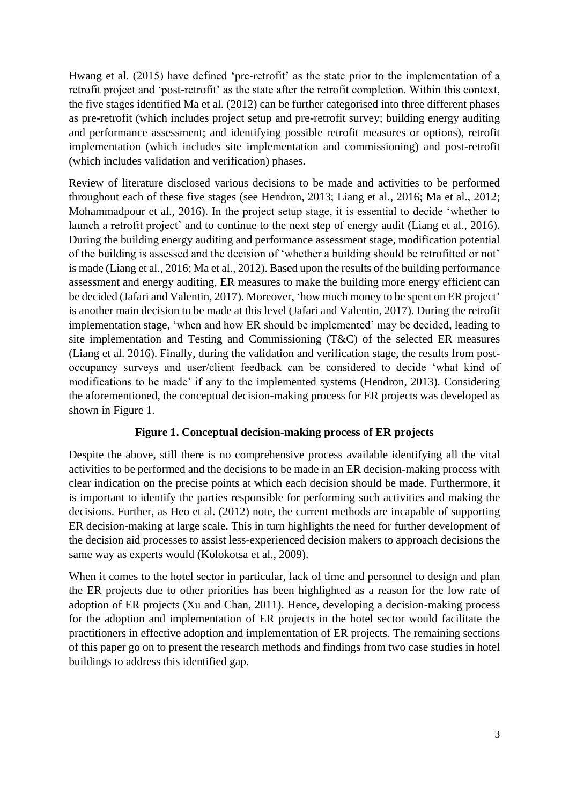Hwang et al. (2015) have defined 'pre-retrofit' as the state prior to the implementation of a retrofit project and 'post-retrofit' as the state after the retrofit completion. Within this context, the five stages identified Ma et al. (2012) can be further categorised into three different phases as pre-retrofit (which includes project setup and pre-retrofit survey; building energy auditing and performance assessment; and identifying possible retrofit measures or options), retrofit implementation (which includes site implementation and commissioning) and post-retrofit (which includes validation and verification) phases.

Review of literature disclosed various decisions to be made and activities to be performed throughout each of these five stages (see Hendron, 2013; Liang et al., 2016; Ma et al., 2012; Mohammadpour et al., 2016). In the project setup stage, it is essential to decide 'whether to launch a retrofit project' and to continue to the next step of energy audit (Liang et al., 2016). During the building energy auditing and performance assessment stage, modification potential of the building is assessed and the decision of 'whether a building should be retrofitted or not' is made (Liang et al., 2016; Ma et al., 2012). Based upon the results of the building performance assessment and energy auditing, ER measures to make the building more energy efficient can be decided (Jafari and Valentin, 2017). Moreover, 'how much money to be spent on ER project' is another main decision to be made at this level (Jafari and Valentin, 2017). During the retrofit implementation stage, 'when and how ER should be implemented' may be decided, leading to site implementation and Testing and Commissioning (T&C) of the selected ER measures (Liang et al. 2016). Finally, during the validation and verification stage, the results from postoccupancy surveys and user/client feedback can be considered to decide 'what kind of modifications to be made' if any to the implemented systems (Hendron, 2013). Considering the aforementioned, the conceptual decision-making process for ER projects was developed as shown in Figure 1.

#### **Figure 1. Conceptual decision-making process of ER projects**

Despite the above, still there is no comprehensive process available identifying all the vital activities to be performed and the decisions to be made in an ER decision-making process with clear indication on the precise points at which each decision should be made. Furthermore, it is important to identify the parties responsible for performing such activities and making the decisions. Further, as Heo et al. (2012) note, the current methods are incapable of supporting ER decision-making at large scale. This in turn highlights the need for further development of the decision aid processes to assist less-experienced decision makers to approach decisions the same way as experts would (Kolokotsa et al., 2009).

When it comes to the hotel sector in particular, lack of time and personnel to design and plan the ER projects due to other priorities has been highlighted as a reason for the low rate of adoption of ER projects (Xu and Chan, 2011). Hence, developing a decision-making process for the adoption and implementation of ER projects in the hotel sector would facilitate the practitioners in effective adoption and implementation of ER projects. The remaining sections of this paper go on to present the research methods and findings from two case studies in hotel buildings to address this identified gap.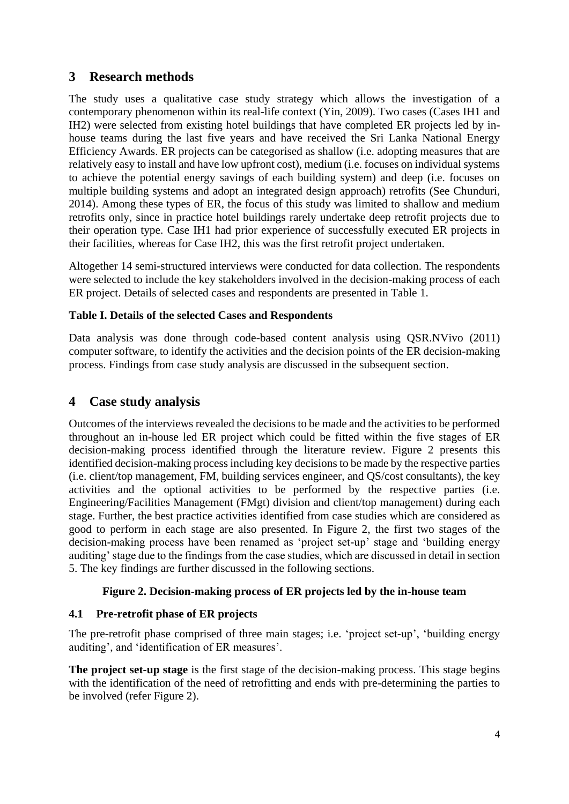## **3 Research methods**

The study uses a qualitative case study strategy which allows the investigation of a contemporary phenomenon within its real-life context (Yin, 2009). Two cases (Cases IH1 and IH2) were selected from existing hotel buildings that have completed ER projects led by inhouse teams during the last five years and have received the Sri Lanka National Energy Efficiency Awards. ER projects can be categorised as shallow (i.e. adopting measures that are relatively easy to install and have low upfront cost), medium (i.e. focuses on individual systems to achieve the potential energy savings of each building system) and deep (i.e. focuses on multiple building systems and adopt an integrated design approach) retrofits (See Chunduri, 2014). Among these types of ER, the focus of this study was limited to shallow and medium retrofits only, since in practice hotel buildings rarely undertake deep retrofit projects due to their operation type. Case IH1 had prior experience of successfully executed ER projects in their facilities, whereas for Case IH2, this was the first retrofit project undertaken.

Altogether 14 semi-structured interviews were conducted for data collection. The respondents were selected to include the key stakeholders involved in the decision-making process of each ER project. Details of selected cases and respondents are presented in Table 1.

#### **Table I. Details of the selected Cases and Respondents**

Data analysis was done through code-based content analysis using QSR.NVivo (2011) computer software, to identify the activities and the decision points of the ER decision-making process. Findings from case study analysis are discussed in the subsequent section.

#### **4 Case study analysis**

Outcomes of the interviews revealed the decisions to be made and the activities to be performed throughout an in-house led ER project which could be fitted within the five stages of ER decision-making process identified through the literature review. Figure 2 presents this identified decision-making process including key decisions to be made by the respective parties (i.e. client/top management, FM, building services engineer, and QS/cost consultants), the key activities and the optional activities to be performed by the respective parties (i.e. Engineering/Facilities Management (FMgt) division and client/top management) during each stage. Further, the best practice activities identified from case studies which are considered as good to perform in each stage are also presented. In Figure 2, the first two stages of the decision-making process have been renamed as 'project set-up' stage and 'building energy auditing' stage due to the findings from the case studies, which are discussed in detail in section 5. The key findings are further discussed in the following sections.

#### **Figure 2. Decision-making process of ER projects led by the in-house team**

#### **4.1 Pre-retrofit phase of ER projects**

The pre-retrofit phase comprised of three main stages; i.e. 'project set-up', 'building energy auditing', and 'identification of ER measures'.

**The project set-up stage** is the first stage of the decision-making process. This stage begins with the identification of the need of retrofitting and ends with pre-determining the parties to be involved (refer Figure 2).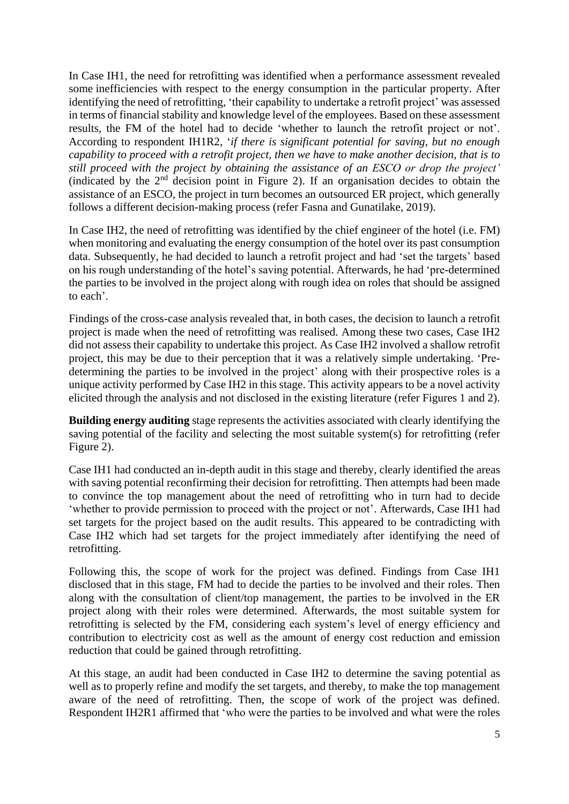In Case IH1, the need for retrofitting was identified when a performance assessment revealed some inefficiencies with respect to the energy consumption in the particular property. After identifying the need of retrofitting, 'their capability to undertake a retrofit project' was assessed in terms of financial stability and knowledge level of the employees. Based on these assessment results, the FM of the hotel had to decide 'whether to launch the retrofit project or not'. According to respondent IH1R2, '*if there is significant potential for saving, but no enough capability to proceed with a retrofit project, then we have to make another decision, that is to still proceed with the project by obtaining the assistance of an ESCO or drop the project'* (indicated by the  $2<sup>nd</sup>$  decision point in Figure 2). If an organisation decides to obtain the assistance of an ESCO, the project in turn becomes an outsourced ER project, which generally follows a different decision-making process (refer Fasna and Gunatilake, 2019).

In Case IH2, the need of retrofitting was identified by the chief engineer of the hotel (i.e. FM) when monitoring and evaluating the energy consumption of the hotel over its past consumption data. Subsequently, he had decided to launch a retrofit project and had 'set the targets' based on his rough understanding of the hotel's saving potential. Afterwards, he had 'pre-determined the parties to be involved in the project along with rough idea on roles that should be assigned to each'.

Findings of the cross-case analysis revealed that, in both cases, the decision to launch a retrofit project is made when the need of retrofitting was realised. Among these two cases, Case IH2 did not assess their capability to undertake this project. As Case IH2 involved a shallow retrofit project, this may be due to their perception that it was a relatively simple undertaking. 'Predetermining the parties to be involved in the project' along with their prospective roles is a unique activity performed by Case IH2 in this stage. This activity appears to be a novel activity elicited through the analysis and not disclosed in the existing literature (refer Figures 1 and 2).

**Building energy auditing** stage represents the activities associated with clearly identifying the saving potential of the facility and selecting the most suitable system(s) for retrofitting (refer Figure 2).

Case IH1 had conducted an in-depth audit in this stage and thereby, clearly identified the areas with saving potential reconfirming their decision for retrofitting. Then attempts had been made to convince the top management about the need of retrofitting who in turn had to decide 'whether to provide permission to proceed with the project or not'. Afterwards, Case IH1 had set targets for the project based on the audit results. This appeared to be contradicting with Case IH2 which had set targets for the project immediately after identifying the need of retrofitting.

Following this, the scope of work for the project was defined. Findings from Case IH1 disclosed that in this stage, FM had to decide the parties to be involved and their roles. Then along with the consultation of client/top management, the parties to be involved in the ER project along with their roles were determined. Afterwards, the most suitable system for retrofitting is selected by the FM, considering each system's level of energy efficiency and contribution to electricity cost as well as the amount of energy cost reduction and emission reduction that could be gained through retrofitting.

At this stage, an audit had been conducted in Case IH2 to determine the saving potential as well as to properly refine and modify the set targets, and thereby, to make the top management aware of the need of retrofitting. Then, the scope of work of the project was defined. Respondent IH2R1 affirmed that 'who were the parties to be involved and what were the roles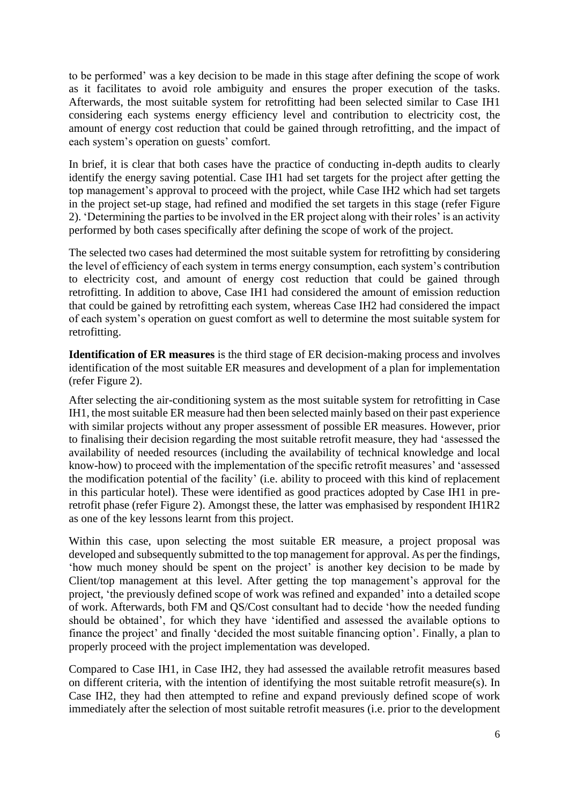to be performed' was a key decision to be made in this stage after defining the scope of work as it facilitates to avoid role ambiguity and ensures the proper execution of the tasks. Afterwards, the most suitable system for retrofitting had been selected similar to Case IH1 considering each systems energy efficiency level and contribution to electricity cost, the amount of energy cost reduction that could be gained through retrofitting, and the impact of each system's operation on guests' comfort.

In brief, it is clear that both cases have the practice of conducting in-depth audits to clearly identify the energy saving potential. Case IH1 had set targets for the project after getting the top management's approval to proceed with the project, while Case IH2 which had set targets in the project set-up stage, had refined and modified the set targets in this stage (refer Figure 2). 'Determining the parties to be involved in the ER project along with their roles' is an activity performed by both cases specifically after defining the scope of work of the project.

The selected two cases had determined the most suitable system for retrofitting by considering the level of efficiency of each system in terms energy consumption, each system's contribution to electricity cost, and amount of energy cost reduction that could be gained through retrofitting. In addition to above, Case IH1 had considered the amount of emission reduction that could be gained by retrofitting each system, whereas Case IH2 had considered the impact of each system's operation on guest comfort as well to determine the most suitable system for retrofitting.

**Identification of ER measures** is the third stage of ER decision-making process and involves identification of the most suitable ER measures and development of a plan for implementation (refer Figure 2).

After selecting the air-conditioning system as the most suitable system for retrofitting in Case IH1, the most suitable ER measure had then been selected mainly based on their past experience with similar projects without any proper assessment of possible ER measures. However, prior to finalising their decision regarding the most suitable retrofit measure, they had 'assessed the availability of needed resources (including the availability of technical knowledge and local know-how) to proceed with the implementation of the specific retrofit measures' and 'assessed the modification potential of the facility' (i.e. ability to proceed with this kind of replacement in this particular hotel). These were identified as good practices adopted by Case IH1 in preretrofit phase (refer Figure 2). Amongst these, the latter was emphasised by respondent IH1R2 as one of the key lessons learnt from this project.

Within this case, upon selecting the most suitable ER measure, a project proposal was developed and subsequently submitted to the top management for approval. As per the findings, 'how much money should be spent on the project' is another key decision to be made by Client/top management at this level. After getting the top management's approval for the project, 'the previously defined scope of work was refined and expanded' into a detailed scope of work. Afterwards, both FM and QS/Cost consultant had to decide 'how the needed funding should be obtained', for which they have 'identified and assessed the available options to finance the project' and finally 'decided the most suitable financing option'. Finally, a plan to properly proceed with the project implementation was developed.

Compared to Case IH1, in Case IH2, they had assessed the available retrofit measures based on different criteria, with the intention of identifying the most suitable retrofit measure(s). In Case IH2, they had then attempted to refine and expand previously defined scope of work immediately after the selection of most suitable retrofit measures (i.e. prior to the development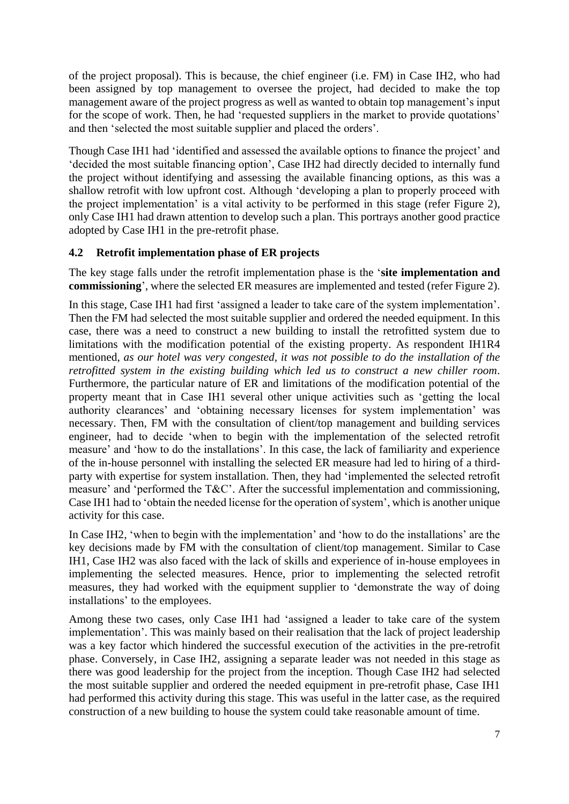of the project proposal). This is because, the chief engineer (i.e. FM) in Case IH2, who had been assigned by top management to oversee the project, had decided to make the top management aware of the project progress as well as wanted to obtain top management's input for the scope of work. Then, he had 'requested suppliers in the market to provide quotations' and then 'selected the most suitable supplier and placed the orders'.

Though Case IH1 had 'identified and assessed the available options to finance the project' and 'decided the most suitable financing option', Case IH2 had directly decided to internally fund the project without identifying and assessing the available financing options, as this was a shallow retrofit with low upfront cost. Although 'developing a plan to properly proceed with the project implementation' is a vital activity to be performed in this stage (refer Figure 2), only Case IH1 had drawn attention to develop such a plan. This portrays another good practice adopted by Case IH1 in the pre-retrofit phase.

#### **4.2 Retrofit implementation phase of ER projects**

The key stage falls under the retrofit implementation phase is the '**site implementation and commissioning**', where the selected ER measures are implemented and tested (refer Figure 2).

In this stage, Case IH1 had first 'assigned a leader to take care of the system implementation'. Then the FM had selected the most suitable supplier and ordered the needed equipment. In this case, there was a need to construct a new building to install the retrofitted system due to limitations with the modification potential of the existing property. As respondent IH1R4 mentioned, *as our hotel was very congested, it was not possible to do the installation of the retrofitted system in the existing building which led us to construct a new chiller room*. Furthermore, the particular nature of ER and limitations of the modification potential of the property meant that in Case IH1 several other unique activities such as 'getting the local authority clearances' and 'obtaining necessary licenses for system implementation' was necessary. Then, FM with the consultation of client/top management and building services engineer, had to decide 'when to begin with the implementation of the selected retrofit measure' and 'how to do the installations'. In this case, the lack of familiarity and experience of the in-house personnel with installing the selected ER measure had led to hiring of a thirdparty with expertise for system installation. Then, they had 'implemented the selected retrofit measure' and 'performed the T&C'. After the successful implementation and commissioning, Case IH1 had to 'obtain the needed license for the operation of system', which is another unique activity for this case.

In Case IH2, 'when to begin with the implementation' and 'how to do the installations' are the key decisions made by FM with the consultation of client/top management. Similar to Case IH1, Case IH2 was also faced with the lack of skills and experience of in-house employees in implementing the selected measures. Hence, prior to implementing the selected retrofit measures, they had worked with the equipment supplier to 'demonstrate the way of doing installations' to the employees.

Among these two cases, only Case IH1 had 'assigned a leader to take care of the system implementation'. This was mainly based on their realisation that the lack of project leadership was a key factor which hindered the successful execution of the activities in the pre-retrofit phase. Conversely, in Case IH2, assigning a separate leader was not needed in this stage as there was good leadership for the project from the inception. Though Case IH2 had selected the most suitable supplier and ordered the needed equipment in pre-retrofit phase, Case IH1 had performed this activity during this stage. This was useful in the latter case, as the required construction of a new building to house the system could take reasonable amount of time.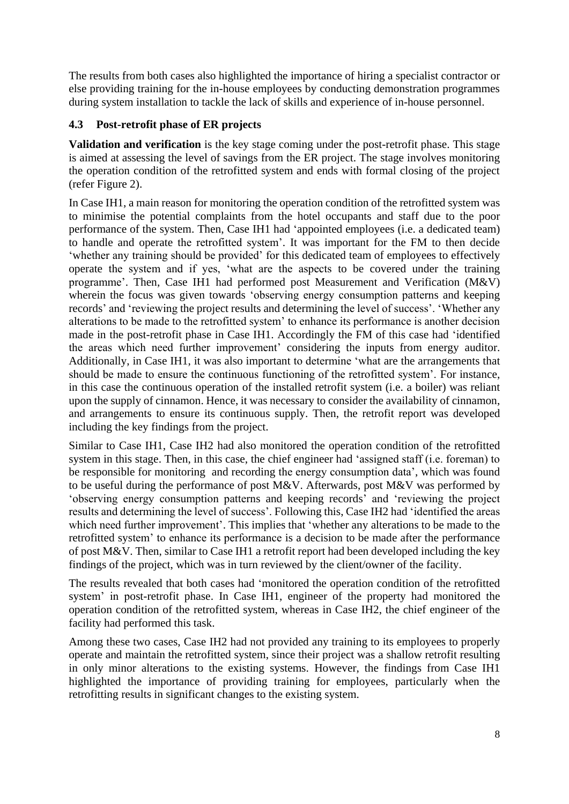The results from both cases also highlighted the importance of hiring a specialist contractor or else providing training for the in-house employees by conducting demonstration programmes during system installation to tackle the lack of skills and experience of in-house personnel.

#### **4.3 Post-retrofit phase of ER projects**

**Validation and verification** is the key stage coming under the post-retrofit phase. This stage is aimed at assessing the level of savings from the ER project. The stage involves monitoring the operation condition of the retrofitted system and ends with formal closing of the project (refer Figure 2).

In Case IH1, a main reason for monitoring the operation condition of the retrofitted system was to minimise the potential complaints from the hotel occupants and staff due to the poor performance of the system. Then, Case IH1 had 'appointed employees (i.e. a dedicated team) to handle and operate the retrofitted system'. It was important for the FM to then decide 'whether any training should be provided' for this dedicated team of employees to effectively operate the system and if yes, 'what are the aspects to be covered under the training programme'. Then, Case IH1 had performed post Measurement and Verification (M&V) wherein the focus was given towards 'observing energy consumption patterns and keeping records' and 'reviewing the project results and determining the level of success'. 'Whether any alterations to be made to the retrofitted system' to enhance its performance is another decision made in the post-retrofit phase in Case IH1. Accordingly the FM of this case had 'identified the areas which need further improvement' considering the inputs from energy auditor. Additionally, in Case IH1, it was also important to determine 'what are the arrangements that should be made to ensure the continuous functioning of the retrofitted system'. For instance, in this case the continuous operation of the installed retrofit system (i.e. a boiler) was reliant upon the supply of cinnamon. Hence, it was necessary to consider the availability of cinnamon, and arrangements to ensure its continuous supply. Then, the retrofit report was developed including the key findings from the project.

Similar to Case IH1, Case IH2 had also monitored the operation condition of the retrofitted system in this stage. Then, in this case, the chief engineer had 'assigned staff (i.e. foreman) to be responsible for monitoring and recording the energy consumption data', which was found to be useful during the performance of post M&V. Afterwards, post M&V was performed by 'observing energy consumption patterns and keeping records' and 'reviewing the project results and determining the level of success'. Following this, Case IH2 had 'identified the areas which need further improvement'. This implies that 'whether any alterations to be made to the retrofitted system' to enhance its performance is a decision to be made after the performance of post M&V. Then, similar to Case IH1 a retrofit report had been developed including the key findings of the project, which was in turn reviewed by the client/owner of the facility.

The results revealed that both cases had 'monitored the operation condition of the retrofitted system' in post-retrofit phase. In Case IH1, engineer of the property had monitored the operation condition of the retrofitted system, whereas in Case IH2, the chief engineer of the facility had performed this task.

Among these two cases, Case IH2 had not provided any training to its employees to properly operate and maintain the retrofitted system, since their project was a shallow retrofit resulting in only minor alterations to the existing systems. However, the findings from Case IH1 highlighted the importance of providing training for employees, particularly when the retrofitting results in significant changes to the existing system.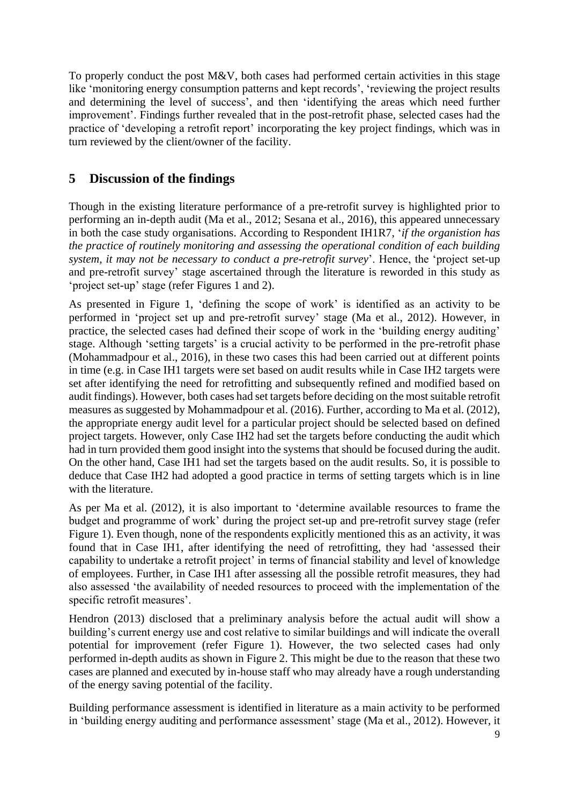To properly conduct the post M&V, both cases had performed certain activities in this stage like 'monitoring energy consumption patterns and kept records', 'reviewing the project results and determining the level of success', and then 'identifying the areas which need further improvement'. Findings further revealed that in the post-retrofit phase, selected cases had the practice of 'developing a retrofit report' incorporating the key project findings, which was in turn reviewed by the client/owner of the facility.

## **5 Discussion of the findings**

Though in the existing literature performance of a pre-retrofit survey is highlighted prior to performing an in-depth audit (Ma et al., 2012; Sesana et al., 2016), this appeared unnecessary in both the case study organisations. According to Respondent IH1R7, '*if the organistion has the practice of routinely monitoring and assessing the operational condition of each building system, it may not be necessary to conduct a pre-retrofit survey*'. Hence, the 'project set-up and pre-retrofit survey' stage ascertained through the literature is reworded in this study as 'project set-up' stage (refer Figures 1 and 2).

As presented in Figure 1, 'defining the scope of work' is identified as an activity to be performed in 'project set up and pre-retrofit survey' stage (Ma et al., 2012). However, in practice, the selected cases had defined their scope of work in the 'building energy auditing' stage. Although 'setting targets' is a crucial activity to be performed in the pre-retrofit phase (Mohammadpour et al., 2016), in these two cases this had been carried out at different points in time (e.g. in Case IH1 targets were set based on audit results while in Case IH2 targets were set after identifying the need for retrofitting and subsequently refined and modified based on audit findings). However, both cases had set targets before deciding on the most suitable retrofit measures as suggested by Mohammadpour et al. (2016). Further, according to Ma et al. (2012), the appropriate energy audit level for a particular project should be selected based on defined project targets. However, only Case IH2 had set the targets before conducting the audit which had in turn provided them good insight into the systems that should be focused during the audit. On the other hand, Case IH1 had set the targets based on the audit results. So, it is possible to deduce that Case IH2 had adopted a good practice in terms of setting targets which is in line with the literature.

As per Ma et al. (2012), it is also important to 'determine available resources to frame the budget and programme of work' during the project set-up and pre-retrofit survey stage (refer Figure 1). Even though, none of the respondents explicitly mentioned this as an activity, it was found that in Case IH1, after identifying the need of retrofitting, they had 'assessed their capability to undertake a retrofit project' in terms of financial stability and level of knowledge of employees. Further, in Case IH1 after assessing all the possible retrofit measures, they had also assessed 'the availability of needed resources to proceed with the implementation of the specific retrofit measures'.

Hendron (2013) disclosed that a preliminary analysis before the actual audit will show a building's current energy use and cost relative to similar buildings and will indicate the overall potential for improvement (refer Figure 1). However, the two selected cases had only performed in-depth audits as shown in Figure 2. This might be due to the reason that these two cases are planned and executed by in-house staff who may already have a rough understanding of the energy saving potential of the facility.

Building performance assessment is identified in literature as a main activity to be performed in 'building energy auditing and performance assessment' stage (Ma et al., 2012). However, it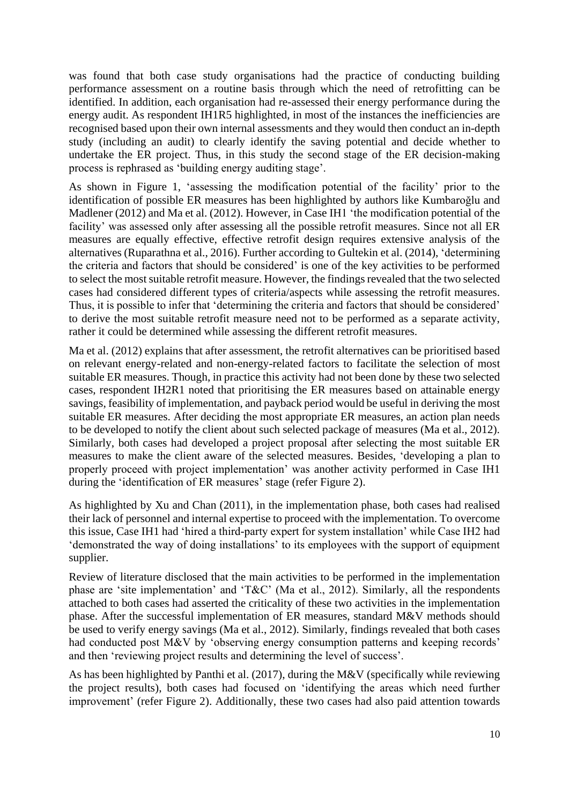was found that both case study organisations had the practice of conducting building performance assessment on a routine basis through which the need of retrofitting can be identified. In addition, each organisation had re-assessed their energy performance during the energy audit. As respondent IH1R5 highlighted, in most of the instances the inefficiencies are recognised based upon their own internal assessments and they would then conduct an in-depth study (including an audit) to clearly identify the saving potential and decide whether to undertake the ER project. Thus, in this study the second stage of the ER decision-making process is rephrased as 'building energy auditing stage'.

As shown in Figure 1, 'assessing the modification potential of the facility' prior to the identification of possible ER measures has been highlighted by authors like Kumbaroğlu and Madlener (2012) and Ma et al. (2012). However, in Case IH1 'the modification potential of the facility' was assessed only after assessing all the possible retrofit measures. Since not all ER measures are equally effective, effective retrofit design requires extensive analysis of the alternatives (Ruparathna et al., 2016). Further according to Gultekin et al. (2014), 'determining the criteria and factors that should be considered' is one of the key activities to be performed to select the most suitable retrofit measure. However, the findings revealed that the two selected cases had considered different types of criteria/aspects while assessing the retrofit measures. Thus, it is possible to infer that 'determining the criteria and factors that should be considered' to derive the most suitable retrofit measure need not to be performed as a separate activity, rather it could be determined while assessing the different retrofit measures.

Ma et al. (2012) explains that after assessment, the retrofit alternatives can be prioritised based on relevant energy-related and non-energy-related factors to facilitate the selection of most suitable ER measures. Though, in practice this activity had not been done by these two selected cases, respondent IH2R1 noted that prioritising the ER measures based on attainable energy savings, feasibility of implementation, and payback period would be useful in deriving the most suitable ER measures. After deciding the most appropriate ER measures, an action plan needs to be developed to notify the client about such selected package of measures (Ma et al., 2012). Similarly, both cases had developed a project proposal after selecting the most suitable ER measures to make the client aware of the selected measures. Besides, 'developing a plan to properly proceed with project implementation' was another activity performed in Case IH1 during the 'identification of ER measures' stage (refer Figure 2).

As highlighted by Xu and Chan (2011), in the implementation phase, both cases had realised their lack of personnel and internal expertise to proceed with the implementation. To overcome this issue, Case IH1 had 'hired a third-party expert for system installation' while Case IH2 had 'demonstrated the way of doing installations' to its employees with the support of equipment supplier.

Review of literature disclosed that the main activities to be performed in the implementation phase are 'site implementation' and 'T&C' (Ma et al., 2012). Similarly, all the respondents attached to both cases had asserted the criticality of these two activities in the implementation phase. After the successful implementation of ER measures, standard M&V methods should be used to verify energy savings (Ma et al., 2012). Similarly, findings revealed that both cases had conducted post M&V by 'observing energy consumption patterns and keeping records' and then 'reviewing project results and determining the level of success'.

As has been highlighted by Panthi et al. (2017), during the M&V (specifically while reviewing the project results), both cases had focused on 'identifying the areas which need further improvement' (refer Figure 2). Additionally, these two cases had also paid attention towards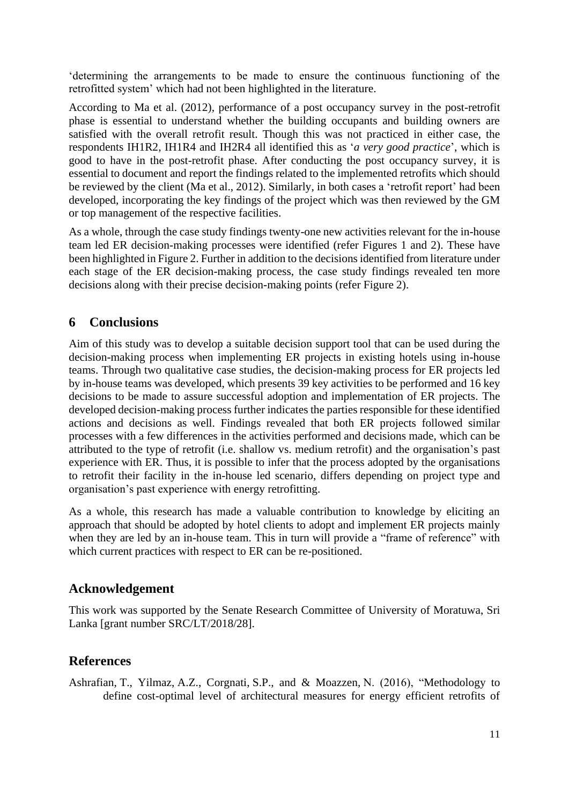'determining the arrangements to be made to ensure the continuous functioning of the retrofitted system' which had not been highlighted in the literature.

According to Ma et al. (2012), performance of a post occupancy survey in the post-retrofit phase is essential to understand whether the building occupants and building owners are satisfied with the overall retrofit result. Though this was not practiced in either case, the respondents IH1R2, IH1R4 and IH2R4 all identified this as '*a very good practice*', which is good to have in the post-retrofit phase. After conducting the post occupancy survey, it is essential to document and report the findings related to the implemented retrofits which should be reviewed by the client (Ma et al., 2012). Similarly, in both cases a 'retrofit report' had been developed, incorporating the key findings of the project which was then reviewed by the GM or top management of the respective facilities.

As a whole, through the case study findings twenty-one new activities relevant for the in-house team led ER decision-making processes were identified (refer Figures 1 and 2). These have been highlighted in Figure 2. Further in addition to the decisions identified from literature under each stage of the ER decision-making process, the case study findings revealed ten more decisions along with their precise decision-making points (refer Figure 2).

#### **6 Conclusions**

Aim of this study was to develop a suitable decision support tool that can be used during the decision-making process when implementing ER projects in existing hotels using in-house teams. Through two qualitative case studies, the decision-making process for ER projects led by in-house teams was developed, which presents 39 key activities to be performed and 16 key decisions to be made to assure successful adoption and implementation of ER projects. The developed decision-making process further indicates the parties responsible for these identified actions and decisions as well. Findings revealed that both ER projects followed similar processes with a few differences in the activities performed and decisions made, which can be attributed to the type of retrofit (i.e. shallow vs. medium retrofit) and the organisation's past experience with ER. Thus, it is possible to infer that the process adopted by the organisations to retrofit their facility in the in-house led scenario, differs depending on project type and organisation's past experience with energy retrofitting.

As a whole, this research has made a valuable contribution to knowledge by eliciting an approach that should be adopted by hotel clients to adopt and implement ER projects mainly when they are led by an in-house team. This in turn will provide a "frame of reference" with which current practices with respect to ER can be re-positioned.

#### **Acknowledgement**

This work was supported by the Senate Research Committee of University of Moratuwa, Sri Lanka [grant number SRC/LT/2018/28].

#### **References**

Ashrafian, T., Yilmaz, A.Z., Corgnati, S.P., and & Moazzen, N. (2016), "Methodology to define cost-optimal level of architectural measures for energy efficient retrofits of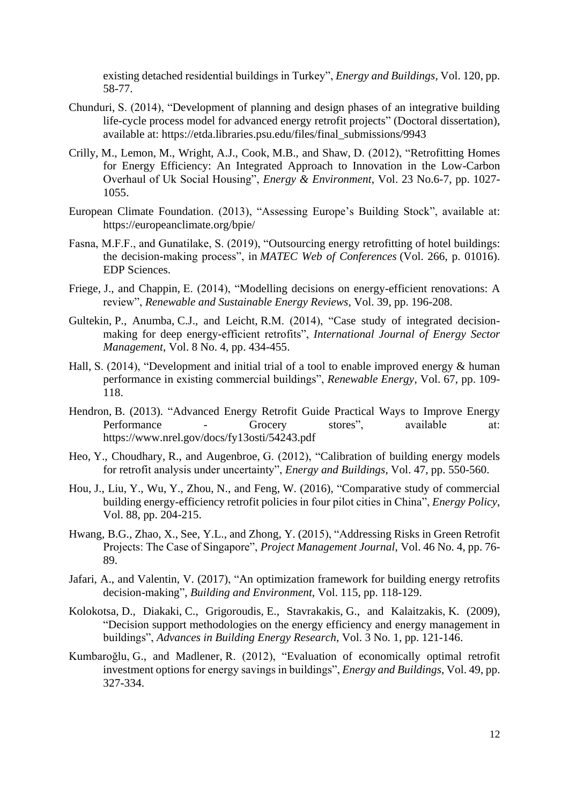existing detached residential buildings in Turkey", *Energy and Buildings*, Vol. 120, pp. 58-77.

- Chunduri, S. (2014), "Development of planning and design phases of an integrative building life-cycle process model for advanced energy retrofit projects" (Doctoral dissertation), available at: https://etda.libraries.psu.edu/files/final\_submissions/9943
- Crilly, M., Lemon, M., Wright, A.J., Cook, M.B., and Shaw, D. (2012), "Retrofitting Homes for Energy Efficiency: An Integrated Approach to Innovation in the Low-Carbon Overhaul of Uk Social Housing", *Energy & Environment*, Vol. 23 No.6-7, pp. 1027- 1055.
- European Climate Foundation. (2013), "Assessing Europe's Building Stock", available at: https://europeanclimate.org/bpie/
- Fasna, M.F.F., and Gunatilake, S. (2019), "Outsourcing energy retrofitting of hotel buildings: the decision-making process", in *MATEC Web of Conferences* (Vol. 266, p. 01016). EDP Sciences.
- Friege, J., and Chappin, E. (2014), "Modelling decisions on energy-efficient renovations: A review", *Renewable and Sustainable Energy Reviews*, Vol. 39, pp. 196-208.
- Gultekin, P., Anumba, C.J., and Leicht, R.M. (2014), "Case study of integrated decisionmaking for deep energy-efficient retrofits", *International Journal of Energy Sector Management*, Vol. 8 No. 4, pp. 434-455.
- Hall, S. (2014), "Development and initial trial of a tool to enable improved energy & human performance in existing commercial buildings", *Renewable Energy*, Vol. 67, pp. 109- 118.
- Hendron, B. (2013). "Advanced Energy Retrofit Guide Practical Ways to Improve Energy Performance - Grocery stores", available at: https://www.nrel.gov/docs/fy13osti/54243.pdf
- Heo, Y., Choudhary, R., and Augenbroe, G. (2012), "Calibration of building energy models for retrofit analysis under uncertainty", *Energy and Buildings*, Vol. 47, pp. 550-560.
- Hou, J., Liu, Y., Wu, Y., Zhou, N., and Feng, W. (2016), "Comparative study of commercial building energy-efficiency retrofit policies in four pilot cities in China", *Energy Policy*, Vol. 88, pp. 204-215.
- Hwang, B.G., Zhao, X., See, Y.L., and Zhong, Y. (2015), "Addressing Risks in Green Retrofit Projects: The Case of Singapore", *Project Management Journal*, Vol. 46 No. 4, pp. 76- 89.
- Jafari, A., and Valentin, V. (2017), "An optimization framework for building energy retrofits decision-making", *Building and Environment*, Vol. 115, pp. 118-129.
- Kolokotsa, D., Diakaki, C., Grigoroudis, E., Stavrakakis, G., and Kalaitzakis, K. (2009), "Decision support methodologies on the energy efficiency and energy management in buildings", *Advances in Building Energy Research*, Vol. 3 No. 1, pp. 121-146.
- Kumbaroğlu, G., and Madlener, R. (2012), "Evaluation of economically optimal retrofit investment options for energy savings in buildings", *Energy and Buildings*, Vol. 49, pp. 327-334.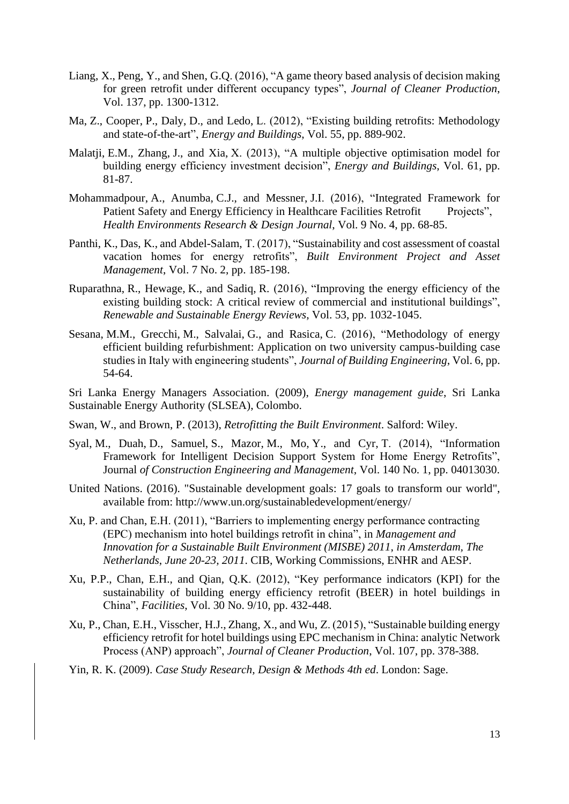- Liang, X., Peng, Y., and Shen, G.Q. (2016), "A game theory based analysis of decision making for green retrofit under different occupancy types", *Journal of Cleaner Production*, Vol. 137, pp. 1300-1312.
- Ma, Z., Cooper, P., Daly, D., and Ledo, L. (2012), "Existing building retrofits: Methodology and state-of-the-art", *Energy and Buildings*, Vol. 55, pp. 889-902.
- Malatji, E.M., Zhang, J., and Xia, X. (2013), "A multiple objective optimisation model for building energy efficiency investment decision", *Energy and Buildings*, Vol. 61, pp. 81-87.
- Mohammadpour, A., Anumba, C.J., and Messner, J.I. (2016), "Integrated Framework for Patient Safety and Energy Efficiency in Healthcare Facilities Retrofit Projects", *Health Environments Research & Design Journal*, Vol. 9 No. 4, pp. 68-85.
- Panthi, K., Das, K., and Abdel-Salam, T. (2017), "Sustainability and cost assessment of coastal vacation homes for energy retrofits", *Built Environment Project and Asset Management*, Vol. 7 No. 2, pp. 185-198.
- Ruparathna, R., Hewage, K., and Sadiq, R. (2016), "Improving the energy efficiency of the existing building stock: A critical review of commercial and institutional buildings", *Renewable and Sustainable Energy Reviews*, Vol. 53, pp. 1032-1045.
- Sesana, M.M., Grecchi, M., Salvalai, G., and Rasica, C. (2016), "Methodology of energy efficient building refurbishment: Application on two university campus-building case studies in Italy with engineering students", *Journal of Building Engineering*, Vol. 6, pp. 54-64.

Sri Lanka Energy Managers Association. (2009), *Energy management guide*, Sri Lanka Sustainable Energy Authority (SLSEA), Colombo.

- Swan, W., and Brown, P. (2013), *Retrofitting the Built Environment*. Salford: Wiley.
- Syal, M., Duah, D., Samuel, S., Mazor, M., Mo, Y., and Cyr, T. (2014), "Information Framework for Intelligent Decision Support System for Home Energy Retrofits", Journal *of Construction Engineering and Management*, Vol. 140 No. 1, pp. 04013030.
- United Nations. (2016). "Sustainable development goals: 17 goals to transform our world", available from: http://www.un.org/sustainabledevelopment/energy/
- Xu, P. and Chan, E.H. (2011), "Barriers to implementing energy performance contracting (EPC) mechanism into hotel buildings retrofit in china", in *Management and Innovation for a Sustainable Built Environment (MISBE) 2011*, *in Amsterdam, The Netherlands*, *June 20-23, 2011*. CIB, Working Commissions, ENHR and AESP.
- Xu, P.P., Chan, E.H., and Qian, Q.K. (2012), "Key performance indicators (KPI) for the sustainability of building energy efficiency retrofit (BEER) in hotel buildings in China", *Facilities*, Vol. 30 No. 9/10, pp. 432-448.
- Xu, P., Chan, E.H., Visscher, H.J., Zhang, X., and Wu, Z. (2015), "Sustainable building energy efficiency retrofit for hotel buildings using EPC mechanism in China: analytic Network Process (ANP) approach", *Journal of Cleaner Production*, Vol. 107, pp. 378-388.
- Yin, R. K. (2009). *Case Study Research, Design & Methods 4th ed*. London: Sage.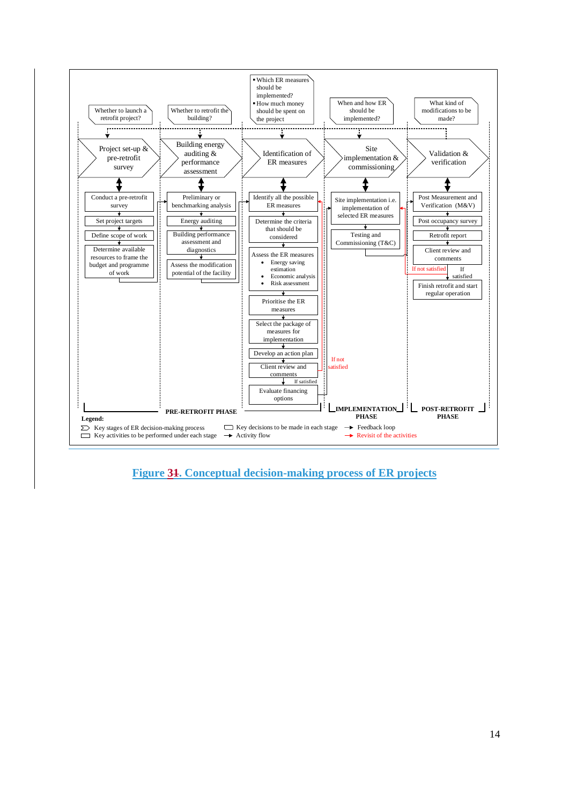

**Figure 31. Conceptual decision-making process of ER projects**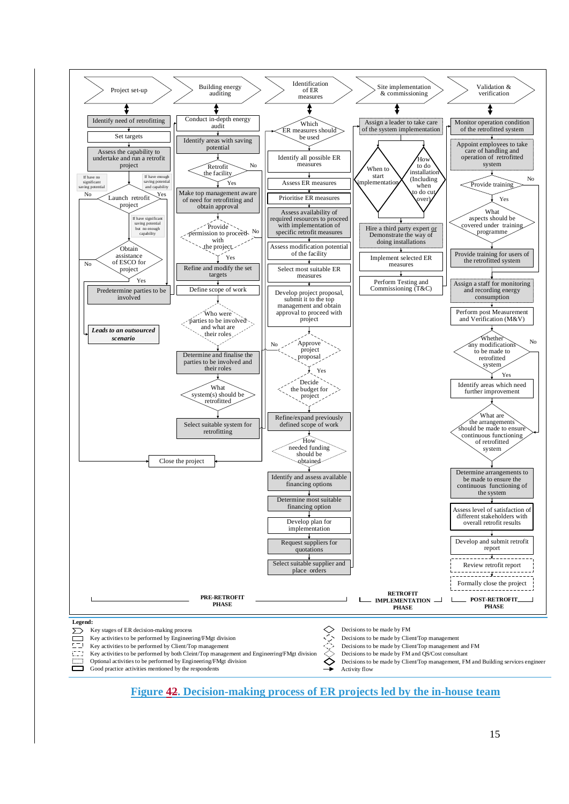

**Figure 42. Decision-making process of ER projects led by the in-house team**